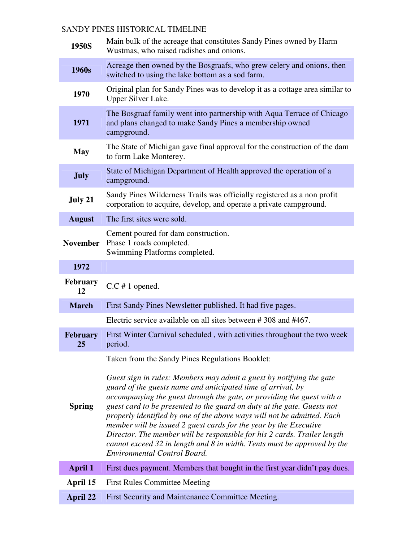## SANDY PINES HISTORICAL TIMELINE

| 1950S                 | Main bulk of the acreage that constitutes Sandy Pines owned by Harm<br>Wustmas, who raised radishes and onions.                                                                                                                                                                                                                                                                                                                                                                                                                                                                                                                              |
|-----------------------|----------------------------------------------------------------------------------------------------------------------------------------------------------------------------------------------------------------------------------------------------------------------------------------------------------------------------------------------------------------------------------------------------------------------------------------------------------------------------------------------------------------------------------------------------------------------------------------------------------------------------------------------|
| 1960s                 | Acreage then owned by the Bosgraafs, who grew celery and onions, then<br>switched to using the lake bottom as a sod farm.                                                                                                                                                                                                                                                                                                                                                                                                                                                                                                                    |
| 1970                  | Original plan for Sandy Pines was to develop it as a cottage area similar to<br>Upper Silver Lake.                                                                                                                                                                                                                                                                                                                                                                                                                                                                                                                                           |
| 1971                  | The Bosgraaf family went into partnership with Aqua Terrace of Chicago<br>and plans changed to make Sandy Pines a membership owned<br>campground.                                                                                                                                                                                                                                                                                                                                                                                                                                                                                            |
| <b>May</b>            | The State of Michigan gave final approval for the construction of the dam<br>to form Lake Monterey.                                                                                                                                                                                                                                                                                                                                                                                                                                                                                                                                          |
| <b>July</b>           | State of Michigan Department of Health approved the operation of a<br>campground.                                                                                                                                                                                                                                                                                                                                                                                                                                                                                                                                                            |
| July 21               | Sandy Pines Wilderness Trails was officially registered as a non profit<br>corporation to acquire, develop, and operate a private campground.                                                                                                                                                                                                                                                                                                                                                                                                                                                                                                |
| <b>August</b>         | The first sites were sold.                                                                                                                                                                                                                                                                                                                                                                                                                                                                                                                                                                                                                   |
| <b>November</b>       | Cement poured for dam construction.<br>Phase 1 roads completed.<br>Swimming Platforms completed.                                                                                                                                                                                                                                                                                                                                                                                                                                                                                                                                             |
| 1972                  |                                                                                                                                                                                                                                                                                                                                                                                                                                                                                                                                                                                                                                              |
| <b>February</b><br>12 | $C.C$ # 1 opened.                                                                                                                                                                                                                                                                                                                                                                                                                                                                                                                                                                                                                            |
| <b>March</b>          | First Sandy Pines Newsletter published. It had five pages.                                                                                                                                                                                                                                                                                                                                                                                                                                                                                                                                                                                   |
|                       | Electric service available on all sites between #308 and #467.                                                                                                                                                                                                                                                                                                                                                                                                                                                                                                                                                                               |
| <b>February</b><br>25 | First Winter Carnival scheduled, with activities throughout the two week<br>period.                                                                                                                                                                                                                                                                                                                                                                                                                                                                                                                                                          |
|                       | Taken from the Sandy Pines Regulations Booklet:                                                                                                                                                                                                                                                                                                                                                                                                                                                                                                                                                                                              |
| <b>Spring</b>         | Guest sign in rules: Members may admit a guest by notifying the gate<br>guard of the guests name and anticipated time of arrival, by<br>accompanying the guest through the gate, or providing the guest with a<br>guest card to be presented to the guard on duty at the gate. Guests not<br>properly identified by one of the above ways will not be admitted. Each<br>member will be issued 2 guest cards for the year by the Executive<br>Director. The member will be responsible for his 2 cards. Trailer length<br>cannot exceed $32$ in length and $8$ in width. Tents must be approved by the<br><b>Environmental Control Board.</b> |
| <b>April 1</b>        | First dues payment. Members that bought in the first year didn't pay dues.                                                                                                                                                                                                                                                                                                                                                                                                                                                                                                                                                                   |
| April 15              | <b>First Rules Committee Meeting</b>                                                                                                                                                                                                                                                                                                                                                                                                                                                                                                                                                                                                         |
| April 22              | First Security and Maintenance Committee Meeting.                                                                                                                                                                                                                                                                                                                                                                                                                                                                                                                                                                                            |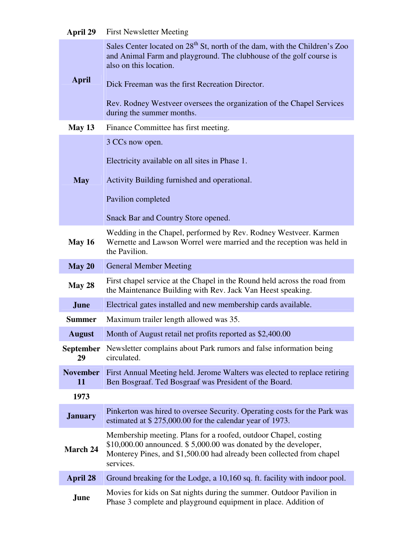| April 29               | <b>First Newsletter Meeting</b>                                                                                                                                                                                            |
|------------------------|----------------------------------------------------------------------------------------------------------------------------------------------------------------------------------------------------------------------------|
|                        | Sales Center located on 28 <sup>th</sup> St, north of the dam, with the Children's Zoo<br>and Animal Farm and playground. The clubhouse of the golf course is<br>also on this location.                                    |
| <b>April</b>           | Dick Freeman was the first Recreation Director.                                                                                                                                                                            |
|                        | Rev. Rodney Westveer oversees the organization of the Chapel Services<br>during the summer months.                                                                                                                         |
| May $13$               | Finance Committee has first meeting.                                                                                                                                                                                       |
|                        | 3 CCs now open.                                                                                                                                                                                                            |
|                        | Electricity available on all sites in Phase 1.                                                                                                                                                                             |
| <b>May</b>             | Activity Building furnished and operational.                                                                                                                                                                               |
|                        | Pavilion completed                                                                                                                                                                                                         |
|                        | Snack Bar and Country Store opened.                                                                                                                                                                                        |
| <b>May 16</b>          | Wedding in the Chapel, performed by Rev. Rodney Westveer. Karmen<br>Wernette and Lawson Worrel were married and the reception was held in<br>the Pavilion.                                                                 |
| May 20                 | <b>General Member Meeting</b>                                                                                                                                                                                              |
| May 28                 | First chapel service at the Chapel in the Round held across the road from<br>the Maintenance Building with Rev. Jack Van Heest speaking.                                                                                   |
| June                   | Electrical gates installed and new membership cards available.                                                                                                                                                             |
| <b>Summer</b>          | Maximum trailer length allowed was 35.                                                                                                                                                                                     |
| <b>August</b>          | Month of August retail net profits reported as \$2,400.00                                                                                                                                                                  |
| <b>September</b><br>29 | Newsletter complains about Park rumors and false information being<br>circulated.                                                                                                                                          |
| <b>November</b><br>11  | First Annual Meeting held. Jerome Walters was elected to replace retiring<br>Ben Bosgraaf. Ted Bosgraaf was President of the Board.                                                                                        |
| 1973                   |                                                                                                                                                                                                                            |
| <b>January</b>         | Pinkerton was hired to oversee Security. Operating costs for the Park was<br>estimated at \$275,000.00 for the calendar year of 1973.                                                                                      |
| March 24               | Membership meeting. Plans for a roofed, outdoor Chapel, costing<br>$$10,000.00$ announced. $$5,000.00$ was donated by the developer,<br>Monterey Pines, and \$1,500.00 had already been collected from chapel<br>services. |
| <b>April 28</b>        | Ground breaking for the Lodge, a 10,160 sq. ft. facility with indoor pool.                                                                                                                                                 |
| June                   | Movies for kids on Sat nights during the summer. Outdoor Pavilion in<br>Phase 3 complete and playground equipment in place. Addition of                                                                                    |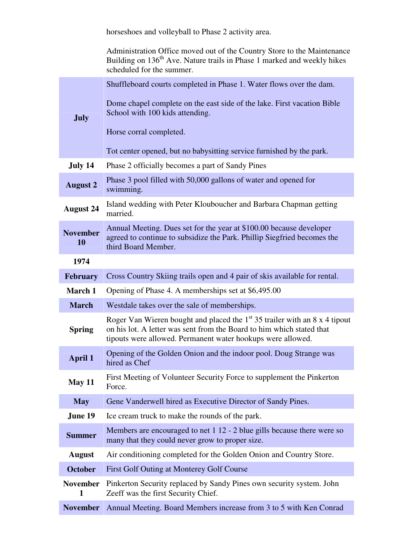horseshoes and volleyball to Phase 2 activity area. Administration Office moved out of the Country Store to the Maintenance Building on  $136<sup>th</sup>$  Ave. Nature trails in Phase 1 marked and weekly hikes scheduled for the summer. **July** Shuffleboard courts completed in Phase 1. Water flows over the dam. Dome chapel complete on the east side of the lake. First vacation Bible School with 100 kids attending. Horse corral completed. Tot center opened, but no babysitting service furnished by the park. **July 14** Phase 2 officially becomes a part of Sandy Pines **August 2** Phase 3 pool filled with 50,000 gallons of water and opened for swimming. **August 24** Island wedding with Peter Klouboucher and Barbara Chapman getting married. **November 10** Annual Meeting. Dues set for the year at \$100.00 because developer agreed to continue to subsidize the Park. Phillip Siegfried becomes the third Board Member. **1974 February** Cross Country Skiing trails open and 4 pair of skis available for rental. **March 1** Opening of Phase 4. A memberships set at \$6,495.00 **March** Westdale takes over the sale of memberships. **Spring** Roger Van Wieren bought and placed the  $1<sup>st</sup> 35$  trailer with an 8 x 4 tipout on his lot. A letter was sent from the Board to him which stated that tipouts were allowed. Permanent water hookups were allowed. **April 1** Opening of the Golden Onion and the indoor pool. Doug Strange was hired as Chef **May 11** First Meeting of Volunteer Security Force to supplement the Pinkerton Force. **May** Gene Vanderwell hired as Executive Director of Sandy Pines. **June 19** Ice cream truck to make the rounds of the park. **Summer** Members are encouraged to net 1 12 - 2 blue gills because there were so many that they could never grow to proper size. **August** Air conditioning completed for the Golden Onion and Country Store. **October** First Golf Outing at Monterey Golf Course **November**  Pinkerton Security replaced by Sandy Pines own security system. John **1** Zeeff was the first Security Chief. **November** Annual Meeting. Board Members increase from 3 to 5 with Ken Conrad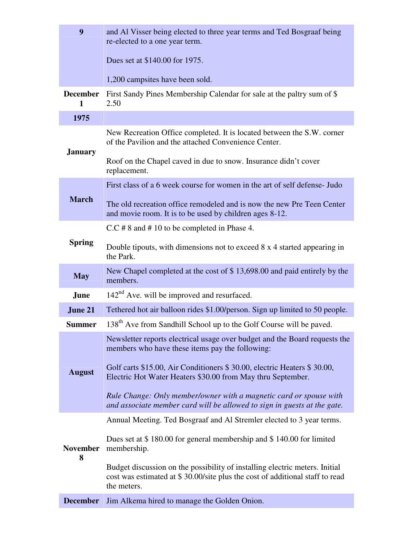| 9                    | and Al Visser being elected to three year terms and Ted Bosgraaf being<br>re-elected to a one year term.                                                                   |
|----------------------|----------------------------------------------------------------------------------------------------------------------------------------------------------------------------|
|                      | Dues set at \$140.00 for 1975.                                                                                                                                             |
|                      |                                                                                                                                                                            |
|                      | 1,200 campsites have been sold.                                                                                                                                            |
| <b>December</b><br>1 | First Sandy Pines Membership Calendar for sale at the paltry sum of \$<br>2.50                                                                                             |
| 1975                 |                                                                                                                                                                            |
| <b>January</b>       | New Recreation Office completed. It is located between the S.W. corner<br>of the Pavilion and the attached Convenience Center.                                             |
|                      | Roof on the Chapel caved in due to snow. Insurance didn't cover<br>replacement.                                                                                            |
|                      | First class of a 6 week course for women in the art of self defense- Judo                                                                                                  |
| <b>March</b>         | The old recreation office remodeled and is now the new Pre Teen Center<br>and movie room. It is to be used by children ages 8-12.                                          |
|                      | $C.C \# 8$ and $# 10$ to be completed in Phase 4.                                                                                                                          |
| <b>Spring</b>        | Double tipouts, with dimensions not to exceed 8 x 4 started appearing in<br>the Park.                                                                                      |
| <b>May</b>           | New Chapel completed at the cost of \$13,698.00 and paid entirely by the<br>members.                                                                                       |
| June                 | $142nd$ Ave. will be improved and resurfaced.                                                                                                                              |
| June 21              | Tethered hot air balloon rides \$1.00/person. Sign up limited to 50 people.                                                                                                |
| <b>Summer</b>        | 138 <sup>th</sup> Ave from Sandhill School up to the Golf Course will be paved.                                                                                            |
|                      | Newsletter reports electrical usage over budget and the Board requests the<br>members who have these items pay the following:                                              |
| <b>August</b>        | Golf carts \$15.00, Air Conditioners \$30.00, electric Heaters \$30.00,<br>Electric Hot Water Heaters \$30.00 from May thru September.                                     |
|                      | Rule Change: Only member/owner with a magnetic card or spouse with<br>and associate member card will be allowed to sign in guests at the gate.                             |
|                      | Annual Meeting. Ted Bosgraaf and Al Stremler elected to 3 year terms.                                                                                                      |
| <b>November</b><br>8 | Dues set at \$180.00 for general membership and \$140.00 for limited<br>membership.                                                                                        |
|                      | Budget discussion on the possibility of installing electric meters. Initial<br>cost was estimated at \$30.00/site plus the cost of additional staff to read<br>the meters. |
| <b>December</b>      | Jim Alkema hired to manage the Golden Onion.                                                                                                                               |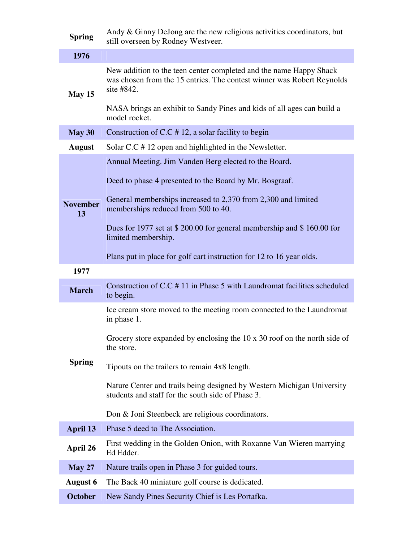| <b>Spring</b>         | Andy & Ginny DeJong are the new religious activities coordinators, but<br>still overseen by Rodney Westveer.                                               |
|-----------------------|------------------------------------------------------------------------------------------------------------------------------------------------------------|
| 1976                  |                                                                                                                                                            |
| May 15                | New addition to the teen center completed and the name Happy Shack<br>was chosen from the 15 entries. The contest winner was Robert Reynolds<br>site #842. |
|                       | NASA brings an exhibit to Sandy Pines and kids of all ages can build a<br>model rocket.                                                                    |
| May 30                | Construction of C.C $# 12$ , a solar facility to begin                                                                                                     |
| <b>August</b>         | Solar C.C #12 open and highlighted in the Newsletter.                                                                                                      |
|                       | Annual Meeting. Jim Vanden Berg elected to the Board.                                                                                                      |
|                       | Deed to phase 4 presented to the Board by Mr. Bosgraaf.                                                                                                    |
| <b>November</b><br>13 | General memberships increased to 2,370 from 2,300 and limited<br>memberships reduced from 500 to 40.                                                       |
|                       | Dues for 1977 set at \$ 200.00 for general membership and \$ 160.00 for<br>limited membership.                                                             |
|                       | Plans put in place for golf cart instruction for 12 to 16 year olds.                                                                                       |
| 1977                  |                                                                                                                                                            |
| <b>March</b>          | Construction of C.C #11 in Phase 5 with Laundromat facilities scheduled<br>to begin.                                                                       |
|                       | Ice cream store moved to the meeting room connected to the Laundromat<br>in phase 1.                                                                       |
| <b>Spring</b>         | Grocery store expanded by enclosing the 10 x 30 roof on the north side of<br>the store.                                                                    |
|                       | Tipouts on the trailers to remain 4x8 length.                                                                                                              |
|                       | Nature Center and trails being designed by Western Michigan University<br>students and staff for the south side of Phase 3.                                |
|                       | Don & Joni Steenbeck are religious coordinators.                                                                                                           |
| April 13              | Phase 5 deed to The Association.                                                                                                                           |
| April 26              | First wedding in the Golden Onion, with Roxanne Van Wieren marrying<br>Ed Edder.                                                                           |
| <b>May 27</b>         | Nature trails open in Phase 3 for guided tours.                                                                                                            |
| <b>August 6</b>       | The Back 40 miniature golf course is dedicated.                                                                                                            |
| <b>October</b>        | New Sandy Pines Security Chief is Les Portafka.                                                                                                            |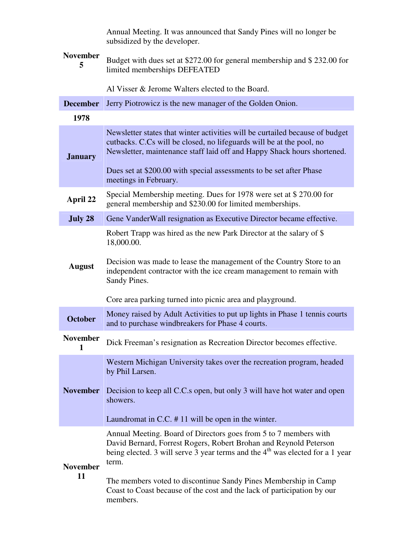| <b>November</b><br>5  | Annual Meeting. It was announced that Sandy Pines will no longer be<br>subsidized by the developer.                                                                                                                                                                                                                                                                                                   |
|-----------------------|-------------------------------------------------------------------------------------------------------------------------------------------------------------------------------------------------------------------------------------------------------------------------------------------------------------------------------------------------------------------------------------------------------|
|                       | Budget with dues set at \$272.00 for general membership and \$232.00 for<br>limited memberships DEFEATED                                                                                                                                                                                                                                                                                              |
|                       | Al Visser & Jerome Walters elected to the Board.                                                                                                                                                                                                                                                                                                                                                      |
| <b>December</b>       | Jerry Piotrowicz is the new manager of the Golden Onion.                                                                                                                                                                                                                                                                                                                                              |
| 1978                  |                                                                                                                                                                                                                                                                                                                                                                                                       |
| <b>January</b>        | Newsletter states that winter activities will be curtailed because of budget<br>cutbacks. C.Cs will be closed, no lifeguards will be at the pool, no<br>Newsletter, maintenance staff laid off and Happy Shack hours shortened.                                                                                                                                                                       |
|                       | Dues set at \$200.00 with special assessments to be set after Phase<br>meetings in February.                                                                                                                                                                                                                                                                                                          |
| April 22              | Special Membership meeting. Dues for 1978 were set at \$270.00 for<br>general membership and \$230.00 for limited memberships.                                                                                                                                                                                                                                                                        |
| July 28               | Gene VanderWall resignation as Executive Director became effective.                                                                                                                                                                                                                                                                                                                                   |
| <b>August</b>         | Robert Trapp was hired as the new Park Director at the salary of \$<br>18,000.00.<br>Decision was made to lease the management of the Country Store to an<br>independent contractor with the ice cream management to remain with<br>Sandy Pines.                                                                                                                                                      |
|                       | Core area parking turned into picnic area and playground.                                                                                                                                                                                                                                                                                                                                             |
| <b>October</b>        | Money raised by Adult Activities to put up lights in Phase 1 tennis courts<br>and to purchase windbreakers for Phase 4 courts.                                                                                                                                                                                                                                                                        |
| <b>November</b>       | Dick Freeman's resignation as Recreation Director becomes effective.                                                                                                                                                                                                                                                                                                                                  |
| <b>November</b>       | Western Michigan University takes over the recreation program, headed<br>by Phil Larsen.<br>Decision to keep all C.C.s open, but only 3 will have hot water and open<br>showers.<br>Laundromat in C.C. $# 11$ will be open in the winter.                                                                                                                                                             |
| <b>November</b><br>11 | Annual Meeting. Board of Directors goes from 5 to 7 members with<br>David Bernard, Forrest Rogers, Robert Brohan and Reynold Peterson<br>being elected. 3 will serve 3 year terms and the 4 <sup>th</sup> was elected for a 1 year<br>term.<br>The members voted to discontinue Sandy Pines Membership in Camp<br>Coast to Coast because of the cost and the lack of participation by our<br>members. |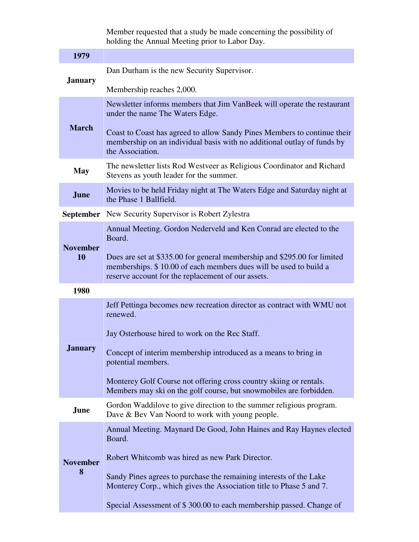Member requested that a study be made concerning the possibility of holding the Annual Meeting prior to Labor Day.

| 1979                 |                                                                                                                                                                                                     |
|----------------------|-----------------------------------------------------------------------------------------------------------------------------------------------------------------------------------------------------|
| <b>January</b>       | Dan Durham is the new Security Supervisor.                                                                                                                                                          |
|                      | Membership reaches 2,000.                                                                                                                                                                           |
| <b>March</b>         | Newsletter informs members that Jim VanBeek will operate the restaurant<br>under the name The Waters Edge.<br>Coast to Coast has agreed to allow Sandy Pines Members to continue their              |
|                      | membership on an individual basis with no additional outlay of funds by<br>the Association.                                                                                                         |
| <b>May</b>           | The newsletter lists Rod Westveer as Religious Coordinator and Richard<br>Stevens as youth leader for the summer.                                                                                   |
| June                 | Movies to be held Friday night at The Waters Edge and Saturday night at<br>the Phase 1 Ballfield.                                                                                                   |
|                      | September New Security Supervisor is Robert Zylestra                                                                                                                                                |
| <b>November</b>      | Annual Meeting. Gordon Nederveld and Ken Conrad are elected to the<br>Board.                                                                                                                        |
| 10                   | Dues are set at \$335.00 for general membership and \$295.00 for limited<br>memberships. \$10.00 of each members dues will be used to build a<br>reserve account for the replacement of our assets. |
| 1980                 |                                                                                                                                                                                                     |
| <b>January</b>       | Jeff Pettinga becomes new recreation director as contract with WMU not<br>renewed.<br>Jay Osterhouse hired to work on the Rec Staff.                                                                |
|                      | Concept of interim membership introduced as a means to bring in<br>potential members.                                                                                                               |
|                      | Monterey Golf Course not offering cross country skiing or rentals.<br>Members may ski on the golf course, but snowmobiles are forbidden.                                                            |
| <b>June</b>          | Gordon Waddilove to give direction to the summer religious program.<br>Dave & Bev Van Noord to work with young people.                                                                              |
| <b>November</b><br>8 | Annual Meeting. Maynard De Good, John Haines and Ray Haynes elected<br>Board.                                                                                                                       |
|                      | Robert Whitcomb was hired as new Park Director.                                                                                                                                                     |
|                      | Sandy Pines agrees to purchase the remaining interests of the Lake<br>Monterey Corp., which gives the Association title to Phase 5 and 7.                                                           |
|                      | Special Assessment of \$300.00 to each membership passed. Change of                                                                                                                                 |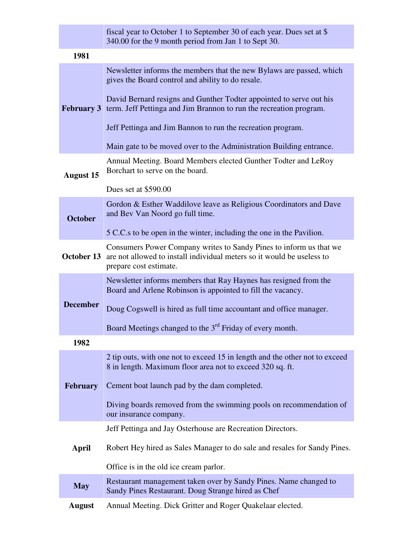|                  | fiscal year to October 1 to September 30 of each year. Dues set at \$<br>340.00 for the 9 month period from Jan 1 to Sept 30.                                          |
|------------------|------------------------------------------------------------------------------------------------------------------------------------------------------------------------|
| 1981             |                                                                                                                                                                        |
|                  | Newsletter informs the members that the new Bylaws are passed, which<br>gives the Board control and ability to do resale.                                              |
|                  | David Bernard resigns and Gunther Todter appointed to serve out his<br><b>February 3</b> term. Jeff Pettinga and Jim Brannon to run the recreation program.            |
|                  | Jeff Pettinga and Jim Bannon to run the recreation program.                                                                                                            |
|                  | Main gate to be moved over to the Administration Building entrance.                                                                                                    |
| <b>August 15</b> | Annual Meeting. Board Members elected Gunther Todter and LeRoy<br>Borchart to serve on the board.                                                                      |
|                  | Dues set at \$590.00                                                                                                                                                   |
| <b>October</b>   | Gordon & Esther Waddilove leave as Religious Coordinators and Dave<br>and Bev Van Noord go full time.                                                                  |
|                  | 5 C.C.s to be open in the winter, including the one in the Pavilion.                                                                                                   |
| October 13       | Consumers Power Company writes to Sandy Pines to inform us that we<br>are not allowed to install individual meters so it would be useless to<br>prepare cost estimate. |
|                  | Newsletter informs members that Ray Haynes has resigned from the<br>Board and Arlene Robinson is appointed to fill the vacancy.                                        |
| <b>December</b>  | Doug Cogswell is hired as full time accountant and office manager.                                                                                                     |
|                  | Board Meetings changed to the $3rd$ Friday of every month.                                                                                                             |
| 1982             |                                                                                                                                                                        |
| <b>February</b>  | 2 tip outs, with one not to exceed 15 in length and the other not to exceed<br>8 in length. Maximum floor area not to exceed 320 sq. ft.                               |
|                  | Cement boat launch pad by the dam completed.                                                                                                                           |
|                  | Diving boards removed from the swimming pools on recommendation of<br>our insurance company.                                                                           |
|                  | Jeff Pettinga and Jay Osterhouse are Recreation Directors.                                                                                                             |
| April            | Robert Hey hired as Sales Manager to do sale and resales for Sandy Pines.                                                                                              |
|                  | Office is in the old ice cream parlor.                                                                                                                                 |
| <b>May</b>       | Restaurant management taken over by Sandy Pines. Name changed to<br>Sandy Pines Restaurant. Doug Strange hired as Chef                                                 |
| <b>August</b>    | Annual Meeting. Dick Gritter and Roger Quakelaar elected.                                                                                                              |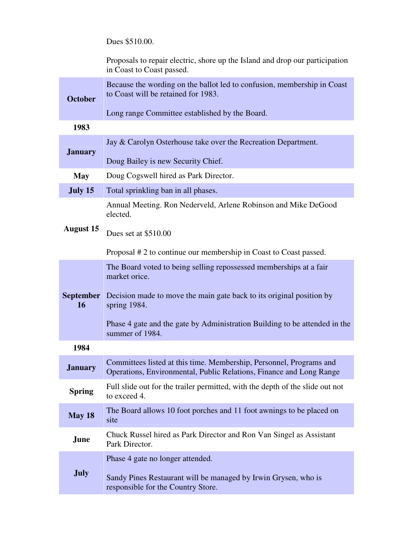Dues \$510.00.

|                        | Proposals to repair electric, shore up the Island and drop our participation<br>in Coast to Coast passed.                                  |
|------------------------|--------------------------------------------------------------------------------------------------------------------------------------------|
| <b>October</b>         | Because the wording on the ballot led to confusion, membership in Coast<br>to Coast will be retained for 1983.                             |
|                        | Long range Committee established by the Board.                                                                                             |
| 1983                   |                                                                                                                                            |
| <b>January</b>         | Jay & Carolyn Osterhouse take over the Recreation Department.                                                                              |
|                        | Doug Bailey is new Security Chief.                                                                                                         |
| <b>May</b>             | Doug Cogswell hired as Park Director.                                                                                                      |
| July 15                | Total sprinkling ban in all phases.                                                                                                        |
|                        | Annual Meeting. Ron Nederveld, Arlene Robinson and Mike DeGood<br>elected.                                                                 |
| <b>August 15</b>       | Dues set at \$510.00                                                                                                                       |
|                        | Proposal # 2 to continue our membership in Coast to Coast passed.                                                                          |
|                        | The Board voted to being selling repossessed memberships at a fair<br>market orice.                                                        |
| <b>September</b><br>16 | Decision made to move the main gate back to its original position by<br>spring $1984$ .                                                    |
|                        | Phase 4 gate and the gate by Administration Building to be attended in the<br>summer of 1984.                                              |
| 1984                   |                                                                                                                                            |
| <b>January</b>         | Committees listed at this time. Membership, Personnel, Programs and<br>Operations, Environmental, Public Relations, Finance and Long Range |
| <b>Spring</b>          | Full slide out for the trailer permitted, with the depth of the slide out not<br>to exceed 4.                                              |
| May 18                 | The Board allows 10 foot porches and 11 foot awnings to be placed on<br>site                                                               |
| June                   | Chuck Russel hired as Park Director and Ron Van Singel as Assistant<br>Park Director.                                                      |
|                        | Phase 4 gate no longer attended.                                                                                                           |
| <b>July</b>            | Sandy Pines Restaurant will be managed by Irwin Grysen, who is<br>responsible for the Country Store.                                       |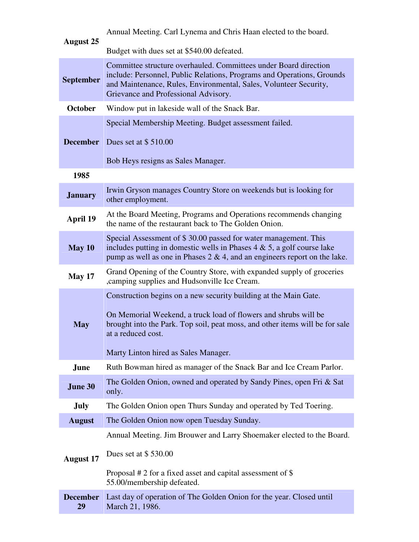| <b>August 25</b>      | Annual Meeting. Carl Lynema and Chris Haan elected to the board.                                                                                                                                                                                                                  |
|-----------------------|-----------------------------------------------------------------------------------------------------------------------------------------------------------------------------------------------------------------------------------------------------------------------------------|
|                       | Budget with dues set at \$540.00 defeated.                                                                                                                                                                                                                                        |
| <b>September</b>      | Committee structure overhauled. Committees under Board direction<br>include: Personnel, Public Relations, Programs and Operations, Grounds<br>and Maintenance, Rules, Environmental, Sales, Volunteer Security,<br>Grievance and Professional Advisory.                           |
| <b>October</b>        | Window put in lakeside wall of the Snack Bar.                                                                                                                                                                                                                                     |
| <b>December</b>       | Special Membership Meeting. Budget assessment failed.<br>Dues set at \$510.00                                                                                                                                                                                                     |
|                       | Bob Heys resigns as Sales Manager.                                                                                                                                                                                                                                                |
| 1985                  |                                                                                                                                                                                                                                                                                   |
| <b>January</b>        | Irwin Gryson manages Country Store on weekends but is looking for<br>other employment.                                                                                                                                                                                            |
| April 19              | At the Board Meeting, Programs and Operations recommends changing<br>the name of the restaurant back to The Golden Onion.                                                                                                                                                         |
| May 10                | Special Assessment of \$30.00 passed for water management. This<br>includes putting in domestic wells in Phases $4 \& 5$ , a golf course lake<br>pump as well as one in Phases $2 \& 4$ , and an engineers report on the lake.                                                    |
| May 17                | Grand Opening of the Country Store, with expanded supply of groceries<br>, camping supplies and Hudsonville Ice Cream.                                                                                                                                                            |
| <b>May</b>            | Construction begins on a new security building at the Main Gate.<br>On Memorial Weekend, a truck load of flowers and shrubs will be<br>brought into the Park. Top soil, peat moss, and other items will be for sale<br>at a reduced cost.<br>Marty Linton hired as Sales Manager. |
| June                  | Ruth Bowman hired as manager of the Snack Bar and Ice Cream Parlor.                                                                                                                                                                                                               |
| June 30               | The Golden Onion, owned and operated by Sandy Pines, open Fri & Sat<br>only.                                                                                                                                                                                                      |
| <b>July</b>           | The Golden Onion open Thurs Sunday and operated by Ted Toering.                                                                                                                                                                                                                   |
| <b>August</b>         | The Golden Onion now open Tuesday Sunday.                                                                                                                                                                                                                                         |
| <b>August 17</b>      | Annual Meeting. Jim Brouwer and Larry Shoemaker elected to the Board.<br>Dues set at $$530.00$<br>Proposal $# 2$ for a fixed asset and capital assessment of \$<br>55.00/membership defeated.                                                                                     |
| <b>December</b><br>29 | Last day of operation of The Golden Onion for the year. Closed until<br>March 21, 1986.                                                                                                                                                                                           |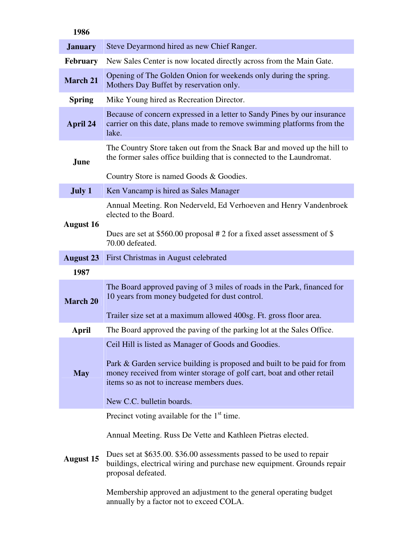| 1986             |                                                                                                                                                                                                                                                                                      |
|------------------|--------------------------------------------------------------------------------------------------------------------------------------------------------------------------------------------------------------------------------------------------------------------------------------|
| <b>January</b>   | Steve Deyarmond hired as new Chief Ranger.                                                                                                                                                                                                                                           |
| <b>February</b>  | New Sales Center is now located directly across from the Main Gate.                                                                                                                                                                                                                  |
| <b>March 21</b>  | Opening of The Golden Onion for weekends only during the spring.<br>Mothers Day Buffet by reservation only.                                                                                                                                                                          |
| <b>Spring</b>    | Mike Young hired as Recreation Director.                                                                                                                                                                                                                                             |
| April 24         | Because of concern expressed in a letter to Sandy Pines by our insurance<br>carrier on this date, plans made to remove swimming platforms from the<br>lake.                                                                                                                          |
| June             | The Country Store taken out from the Snack Bar and moved up the hill to<br>the former sales office building that is connected to the Laundromat.<br>Country Store is named Goods & Goodies.                                                                                          |
| July 1           | Ken Vancamp is hired as Sales Manager                                                                                                                                                                                                                                                |
| <b>August 16</b> | Annual Meeting. Ron Nederveld, Ed Verhoeven and Henry Vandenbroek<br>elected to the Board.                                                                                                                                                                                           |
|                  | Dues are set at \$560.00 proposal # 2 for a fixed asset assessment of \$<br>70.00 defeated.                                                                                                                                                                                          |
| <b>August 23</b> | First Christmas in August celebrated                                                                                                                                                                                                                                                 |
| 1987             |                                                                                                                                                                                                                                                                                      |
| <b>March 20</b>  | The Board approved paving of 3 miles of roads in the Park, financed for<br>10 years from money budgeted for dust control.                                                                                                                                                            |
|                  | Trailer size set at a maximum allowed 400sg. Ft. gross floor area.                                                                                                                                                                                                                   |
| April            | The Board approved the paving of the parking lot at the Sales Office.                                                                                                                                                                                                                |
| <b>May</b>       | Ceil Hill is listed as Manager of Goods and Goodies.<br>Park & Garden service building is proposed and built to be paid for from<br>money received from winter storage of golf cart, boat and other retail<br>items so as not to increase members dues.<br>New C.C. bulletin boards. |
|                  | Precinct voting available for the $1st$ time.                                                                                                                                                                                                                                        |
| <b>August 15</b> | Annual Meeting. Russ De Vette and Kathleen Pietras elected.<br>Dues set at \$635.00. \$36.00 assessments passed to be used to repair<br>buildings, electrical wiring and purchase new equipment. Grounds repair<br>proposal defeated.                                                |
|                  | Membership approved an adjustment to the general operating budget<br>annually by a factor not to exceed COLA.                                                                                                                                                                        |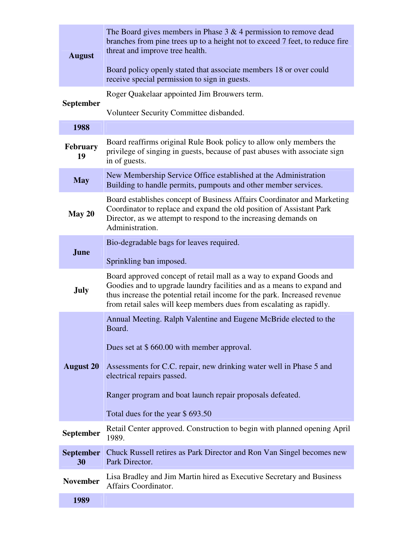| <b>August</b>          | The Board gives members in Phase $3 \& 4$ permission to remove dead<br>branches from pine trees up to a height not to exceed 7 feet, to reduce fire<br>threat and improve tree health.<br>Board policy openly stated that associate members 18 or over could                                                                    |
|------------------------|---------------------------------------------------------------------------------------------------------------------------------------------------------------------------------------------------------------------------------------------------------------------------------------------------------------------------------|
|                        | receive special permission to sign in guests.                                                                                                                                                                                                                                                                                   |
| <b>September</b>       | Roger Quakelaar appointed Jim Brouwers term.                                                                                                                                                                                                                                                                                    |
|                        | Volunteer Security Committee disbanded.                                                                                                                                                                                                                                                                                         |
| 1988                   |                                                                                                                                                                                                                                                                                                                                 |
| <b>February</b><br>19  | Board reaffirms original Rule Book policy to allow only members the<br>privilege of singing in guests, because of past abuses with associate sign<br>in of guests.                                                                                                                                                              |
| <b>May</b>             | New Membership Service Office established at the Administration<br>Building to handle permits, pumpouts and other member services.                                                                                                                                                                                              |
| May 20                 | Board establishes concept of Business Affairs Coordinator and Marketing<br>Coordinator to replace and expand the old position of Assistant Park<br>Director, as we attempt to respond to the increasing demands on<br>Administration.                                                                                           |
|                        | Bio-degradable bags for leaves required.                                                                                                                                                                                                                                                                                        |
| June                   | Sprinkling ban imposed.                                                                                                                                                                                                                                                                                                         |
| <b>July</b>            | Board approved concept of retail mall as a way to expand Goods and<br>Goodies and to upgrade laundry facilities and as a means to expand and<br>thus increase the potential retail income for the park. Increased revenue<br>from retail sales will keep members dues from escalating as rapidly.                               |
| <b>August 20</b>       | Annual Meeting. Ralph Valentine and Eugene McBride elected to the<br>Board.<br>Dues set at \$660.00 with member approval.<br>Assessments for C.C. repair, new drinking water well in Phase 5 and<br>electrical repairs passed.<br>Ranger program and boat launch repair proposals defeated.<br>Total dues for the year \$693.50 |
| September              | Retail Center approved. Construction to begin with planned opening April<br>1989.                                                                                                                                                                                                                                               |
| <b>September</b><br>30 | Chuck Russell retires as Park Director and Ron Van Singel becomes new<br>Park Director.                                                                                                                                                                                                                                         |
| <b>November</b>        | Lisa Bradley and Jim Martin hired as Executive Secretary and Business<br>Affairs Coordinator.                                                                                                                                                                                                                                   |
| 1989                   |                                                                                                                                                                                                                                                                                                                                 |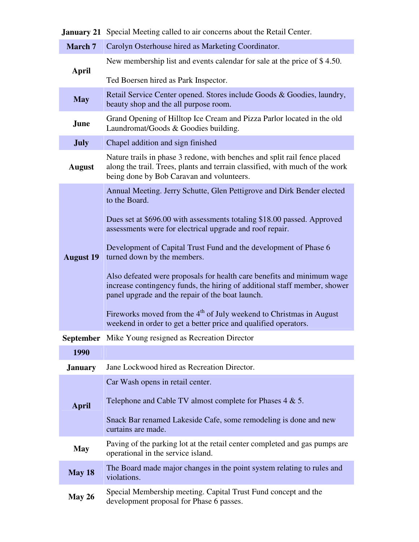|                  | <b>January 21</b> Special Meeting called to air concerns about the Retail Center.                                                                                                                       |
|------------------|---------------------------------------------------------------------------------------------------------------------------------------------------------------------------------------------------------|
| <b>March 7</b>   | Carolyn Osterhouse hired as Marketing Coordinator.                                                                                                                                                      |
| April            | New membership list and events calendar for sale at the price of \$4.50.                                                                                                                                |
|                  | Ted Boersen hired as Park Inspector.                                                                                                                                                                    |
| <b>May</b>       | Retail Service Center opened. Stores include Goods & Goodies, laundry,<br>beauty shop and the all purpose room.                                                                                         |
| June             | Grand Opening of Hilltop Ice Cream and Pizza Parlor located in the old<br>Laundromat/Goods & Goodies building.                                                                                          |
| <b>July</b>      | Chapel addition and sign finished                                                                                                                                                                       |
| <b>August</b>    | Nature trails in phase 3 redone, with benches and split rail fence placed<br>along the trail. Trees, plants and terrain classified, with much of the work<br>being done by Bob Caravan and volunteers.  |
|                  | Annual Meeting. Jerry Schutte, Glen Pettigrove and Dirk Bender elected<br>to the Board.                                                                                                                 |
|                  | Dues set at \$696.00 with assessments totaling \$18.00 passed. Approved<br>assessments were for electrical upgrade and roof repair.                                                                     |
| <b>August 19</b> | Development of Capital Trust Fund and the development of Phase 6<br>turned down by the members.                                                                                                         |
|                  | Also defeated were proposals for health care benefits and minimum wage<br>increase contingency funds, the hiring of additional staff member, shower<br>panel upgrade and the repair of the boat launch. |
|                  | Fireworks moved from the 4 <sup>th</sup> of July weekend to Christmas in August<br>weekend in order to get a better price and qualified operators.                                                      |
|                  | <b>September</b> Mike Young resigned as Recreation Director                                                                                                                                             |
| 1990             |                                                                                                                                                                                                         |
| <b>January</b>   | Jane Lockwood hired as Recreation Director.                                                                                                                                                             |
|                  | Car Wash opens in retail center.                                                                                                                                                                        |
| <b>April</b>     | Telephone and Cable TV almost complete for Phases $4 \& 5$ .                                                                                                                                            |
|                  | Snack Bar renamed Lakeside Cafe, some remodeling is done and new<br>curtains are made.                                                                                                                  |
| <b>May</b>       | Paving of the parking lot at the retail center completed and gas pumps are<br>operational in the service island.                                                                                        |
| May 18           | The Board made major changes in the point system relating to rules and<br>violations.                                                                                                                   |
| <b>May 26</b>    | Special Membership meeting. Capital Trust Fund concept and the<br>development proposal for Phase 6 passes.                                                                                              |